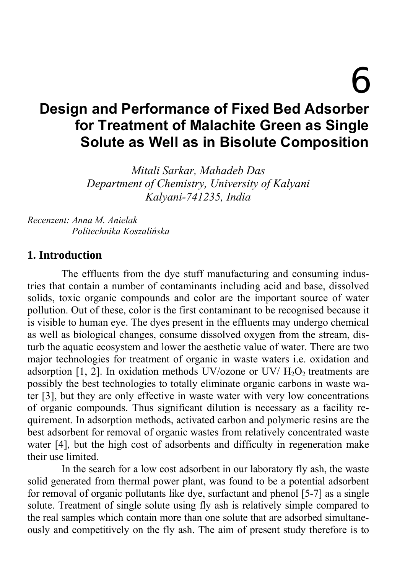6

# **Design and Performance of Fixed Bed Adsorber for Treatment of Malachite Green as Single Solute as Well as in Bisolute Composition**

*Mitali Sarkar, Mahadeb Das Department of Chemistry, University of Kalyani Kalyani-741235, India* 

*Recenzent: Anna M. Anielak Politechnika Koszalińska* 

#### **1. Introduction**

The effluents from the dye stuff manufacturing and consuming industries that contain a number of contaminants including acid and base, dissolved solids, toxic organic compounds and color are the important source of water pollution. Out of these, color is the first contaminant to be recognised because it is visible to human eye. The dyes present in the effluents may undergo chemical as well as biological changes, consume dissolved oxygen from the stream, disturb the aquatic ecosystem and lower the aesthetic value of water. There are two major technologies for treatment of organic in waste waters i.e. oxidation and adsorption  $[1, 2]$ . In oxidation methods UV/ozone or UV/ $H_2O_2$  treatments are possibly the best technologies to totally eliminate organic carbons in waste water [3], but they are only effective in waste water with very low concentrations of organic compounds. Thus significant dilution is necessary as a facility requirement. In adsorption methods, activated carbon and polymeric resins are the best adsorbent for removal of organic wastes from relatively concentrated waste water [4], but the high cost of adsorbents and difficulty in regeneration make their use limited.

In the search for a low cost adsorbent in our laboratory fly ash, the waste solid generated from thermal power plant, was found to be a potential adsorbent for removal of organic pollutants like dye, surfactant and phenol [5-7] as a single solute. Treatment of single solute using fly ash is relatively simple compared to the real samples which contain more than one solute that are adsorbed simultaneously and competitively on the fly ash. The aim of present study therefore is to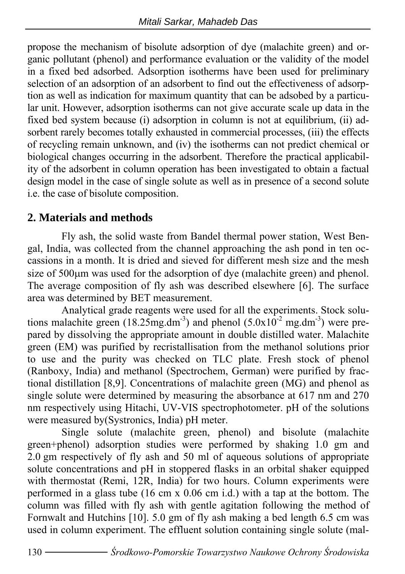propose the mechanism of bisolute adsorption of dye (malachite green) and organic pollutant (phenol) and performance evaluation or the validity of the model in a fixed bed adsorbed. Adsorption isotherms have been used for preliminary selection of an adsorption of an adsorbent to find out the effectiveness of adsorption as well as indication for maximum quantity that can be adsobed by a particular unit. However, adsorption isotherms can not give accurate scale up data in the fixed bed system because (i) adsorption in column is not at equilibrium, (ii) adsorbent rarely becomes totally exhausted in commercial processes, (iii) the effects of recycling remain unknown, and (iv) the isotherms can not predict chemical or biological changes occurring in the adsorbent. Therefore the practical applicability of the adsorbent in column operation has been investigated to obtain a factual design model in the case of single solute as well as in presence of a second solute i.e. the case of bisolute composition.

### **2. Materials and methods**

Fly ash, the solid waste from Bandel thermal power station, West Bengal, India, was collected from the channel approaching the ash pond in ten occassions in a month. It is dried and sieved for different mesh size and the mesh size of 500<sub>u</sub>m was used for the adsorption of dye (malachite green) and phenol. The average composition of fly ash was described elsewhere [6]. The surface area was determined by BET measurement.

Analytical grade reagents were used for all the experiments. Stock solutions malachite green (18.25mg.dm<sup>-3</sup>) and phenol (5.0x10<sup>-2</sup> mg.dm<sup>-3</sup>) were prepared by dissolving the appropriate amount in double distilled water. Malachite green (EM) was purified by recristallisation from the methanol solutions prior to use and the purity was checked on TLC plate. Fresh stock of phenol (Ranboxy, India) and methanol (Spectrochem, German) were purified by fractional distillation [8,9]. Concentrations of malachite green (MG) and phenol as single solute were determined by measuring the absorbance at 617 nm and 270 nm respectively using Hitachi, UV-VIS spectrophotometer. pH of the solutions were measured by(Systronics, India) pH meter.

Single solute (malachite green, phenol) and bisolute (malachite green+phenol) adsorption studies were performed by shaking 1.0 gm and 2.0 gm respectively of fly ash and 50 ml of aqueous solutions of appropriate solute concentrations and pH in stoppered flasks in an orbital shaker equipped with thermostat (Remi, 12R, India) for two hours. Column experiments were performed in a glass tube (16 cm x 0.06 cm i.d.) with a tap at the bottom. The column was filled with fly ash with gentle agitation following the method of Fornwalt and Hutchins [10]. 5.0 gm of fly ash making a bed length 6.5 cm was used in column experiment. The effluent solution containing single solute (mal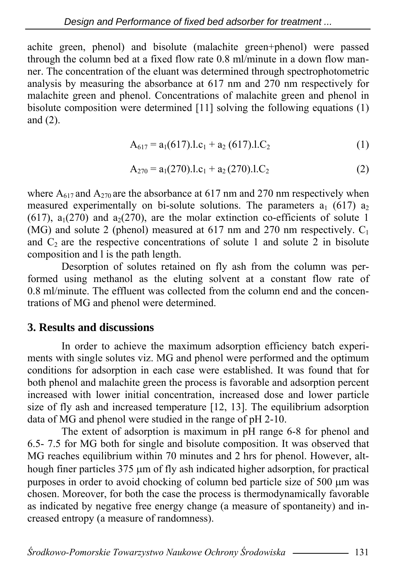achite green, phenol) and bisolute (malachite green+phenol) were passed through the column bed at a fixed flow rate 0.8 ml/minute in a down flow manner. The concentration of the eluant was determined through spectrophotometric analysis by measuring the absorbance at 617 nm and 270 nm respectively for malachite green and phenol. Concentrations of malachite green and phenol in bisolute composition were determined [11] solving the following equations (1) and (2).

$$
A_{617} = a_1(617).1.c_1 + a_2(617).1.C_2
$$
 (1)

$$
A_{270} = a_1(270).1.c_1 + a_2(270).1.C_2
$$
 (2)

where  $A_{617}$  and  $A_{270}$  are the absorbance at 617 nm and 270 nm respectively when measured experimentally on bi-solute solutions. The parameters  $a_1$  (617)  $a_2$ (617),  $a_1(270)$  and  $a_2(270)$ , are the molar extinction co-efficients of solute 1 (MG) and solute 2 (phenol) measured at 617 nm and 270 nm respectively.  $C_1$ and  $C_2$  are the respective concentrations of solute 1 and solute 2 in bisolute composition and l is the path length.

Desorption of solutes retained on fly ash from the column was performed using methanol as the eluting solvent at a constant flow rate of 0.8 ml/minute. The effluent was collected from the column end and the concentrations of MG and phenol were determined.

#### **3. Results and discussions**

In order to achieve the maximum adsorption efficiency batch experiments with single solutes viz. MG and phenol were performed and the optimum conditions for adsorption in each case were established. It was found that for both phenol and malachite green the process is favorable and adsorption percent increased with lower initial concentration, increased dose and lower particle size of fly ash and increased temperature [12, 13]. The equilibrium adsorption data of MG and phenol were studied in the range of pH 2-10.

The extent of adsorption is maximum in pH range 6-8 for phenol and 6.5- 7.5 for MG both for single and bisolute composition. It was observed that MG reaches equilibrium within 70 minutes and 2 hrs for phenol. However, although finer particles  $375 \mu m$  of fly ash indicated higher adsorption, for practical purposes in order to avoid chocking of column bed particle size of 500  $\mu$ m was chosen. Moreover, for both the case the process is thermodynamically favorable as indicated by negative free energy change (a measure of spontaneity) and increased entropy (a measure of randomness).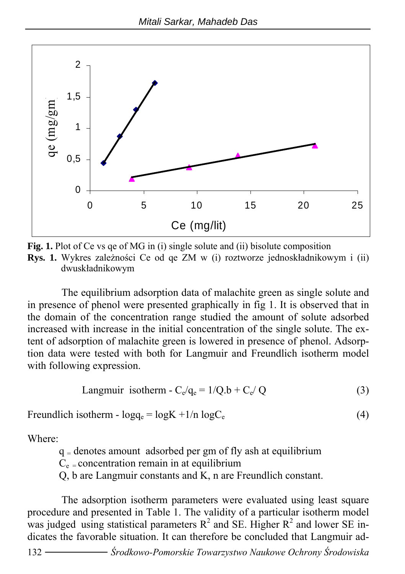

**Fig. 1.** Plot of Ce vs ge of MG in (i) single solute and (ii) bisolute composition **Rys. 1.** Wykres zależności Ce od qe ZM w (i) roztworze jednoskładnikowym i (ii) dwuskładnikowym

The equilibrium adsorption data of malachite green as single solute and in presence of phenol were presented graphically in fig 1. It is observed that in the domain of the concentration range studied the amount of solute adsorbed increased with increase in the initial concentration of the single solute. The extent of adsorption of malachite green is lowered in presence of phenol. Adsorption data were tested with both for Langmuir and Freundlich isotherm model with following expression.

$$
Language in the image. \n
$$
C_e / q_e = 1 / Q.b + C_e / Q
$$
\n(3)
$$

Freundlich isotherm -  $log q_e = log K + 1/n log C_e$  (4)

Where:

 $q =$  denotes amount adsorbed per gm of fly ash at equilibrium

 $C_e$  = concentration remain in at equilibrium

Q, b are Langmuir constants and K, n are Freundlich constant.

The adsorption isotherm parameters were evaluated using least square procedure and presented in Table 1. The validity of a particular isotherm model was judged using statistical parameters  $R^2$  and SE. Higher  $R^2$  and lower SE indicates the favorable situation. It can therefore be concluded that Langmuir ad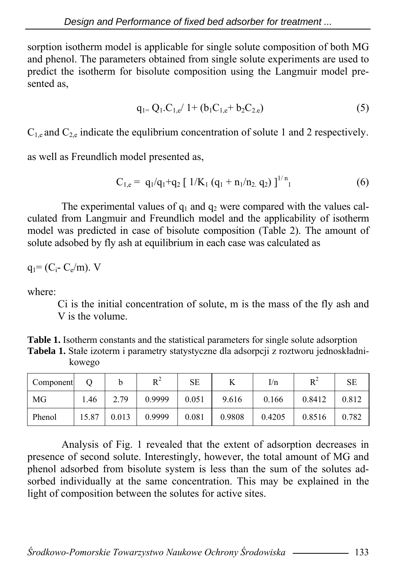sorption isotherm model is applicable for single solute composition of both MG and phenol. The parameters obtained from single solute experiments are used to predict the isotherm for bisolute composition using the Langmuir model presented as,

$$
q_{1} = Q_1.C_{1,e} / 1 + (b_1 C_{1,e} + b_2 C_{2,e})
$$
\n(5)

 $C_{1,e}$  and  $C_{2,e}$  indicate the equilibrium concentration of solute 1 and 2 respectively.

as well as Freundlich model presented as,

$$
C_{1,e} = q_1/q_1 + q_2 [1/K_1 (q_1 + n_1/n_2 q_2)]^{1/n} \tag{6}
$$

The experimental values of  $q_1$  and  $q_2$  were compared with the values calculated from Langmuir and Freundlich model and the applicability of isotherm model was predicted in case of bisolute composition (Table 2). The amount of solute adsobed by fly ash at equilibrium in each case was calculated as

 $q_1 = (C_i - C_e/m)$ . V

where:

Ci is the initial concentration of solute, m is the mass of the fly ash and V is the volume.

**Table 1.** Isotherm constants and the statistical parameters for single solute adsorption **Tabela 1.** Stałe izoterm i parametry statystyczne dla adsorpcji z roztworu jednoskładnikowego

| Component |       |       | D <sup>2</sup> | <b>SE</b> |        | I/n    | $R^2$  | <b>SE</b> |
|-----------|-------|-------|----------------|-----------|--------|--------|--------|-----------|
| MG        | .46   | 2.79  | 0.9999         | 0.051     | 9.616  | 0.166  | 0.8412 | 0.812     |
| Phenol    | 15.87 | 0.013 | 0.9999         | 0.081     | 0.9808 | 0.4205 | 0.8516 | 0.782     |

Analysis of Fig. 1 revealed that the extent of adsorption decreases in presence of second solute. Interestingly, however, the total amount of MG and phenol adsorbed from bisolute system is less than the sum of the solutes adsorbed individually at the same concentration. This may be explained in the light of composition between the solutes for active sites.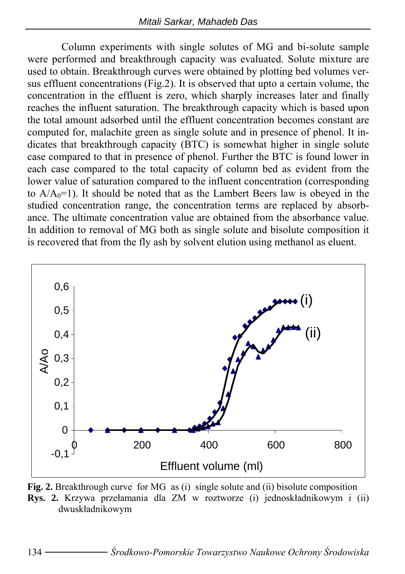Column experiments with single solutes of MG and bi-solute sample were performed and breakthrough capacity was evaluated. Solute mixture are used to obtain. Breakthrough curves were obtained by plotting bed volumes versus effluent concentrations (Fig.2). It is observed that upto a certain volume, the concentration in the effluent is zero, which sharply increases later and finally reaches the influent saturation. The breakthrough capacity which is based upon the total amount adsorbed until the effluent concentration becomes constant are computed for, malachite green as single solute and in presence of phenol. It indicates that breakthrough capacity (BTC) is somewhat higher in single solute case compared to that in presence of phenol. Further the BTC is found lower in each case compared to the total capacity of column bed as evident from the lower value of saturation compared to the influent concentration (corresponding to  $A/A<sub>0</sub>=1$ ). It should be noted that as the Lambert Beers law is obeyed in the studied concentration range, the concentration terms are replaced by absorbance. The ultimate concentration value are obtained from the absorbance value. In addition to removal of MG both as single solute and bisolute composition it is recovered that from the fly ash by solvent elution using methanol as eluent.



**Fig. 2.** Breakthrough curve for MG as (i) single solute and (ii) bisolute composition **Rys. 2.** Krzywa przełamania dla ZM w roztworze (i) jednoskładnikowym i (ii) dwuskładnikowym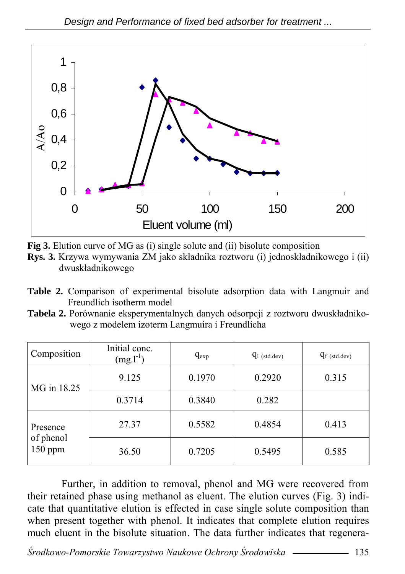

**Fig 3.** Elution curve of MG as (i) single solute and (ii) bisolute composition

- **Rys. 3.** Krzywa wymywania ZM jako składnika roztworu (i) jednoskładnikowego i (ii) dwuskładnikowego
- **Table 2.** Comparison of experimental bisolute adsorption data with Langmuir and Freundlich isotherm model
- **Tabela 2.** Porównanie eksperymentalnych danych odsorpcji z roztworu dwuskładnikowego z modelem izoterm Langmuira i Freundlicha

| Composition                        | Initial conc.<br>$(mg.l^{-1})$ | $q_{exp}$ | $q_{1}$ (std.dev) | $q_f$ (std.dev) |
|------------------------------------|--------------------------------|-----------|-------------------|-----------------|
| MG in 18.25                        | 9.125                          | 0.1970    | 0.2920            | 0.315           |
|                                    | 0.3714                         | 0.3840    | 0.282             |                 |
| Presence<br>of phenol<br>$150$ ppm | 27.37                          | 0.5582    | 0.4854            | 0.413           |
|                                    | 36.50                          | 0.7205    | 0.5495            | 0.585           |

Further, in addition to removal, phenol and MG were recovered from their retained phase using methanol as eluent. The elution curves (Fig. 3) indicate that quantitative elution is effected in case single solute composition than when present together with phenol. It indicates that complete elution requires much eluent in the bisolute situation. The data further indicates that regenera-

*Środkowo-Pomorskie Towarzystwo Naukowe Ochrony Środowiska* 135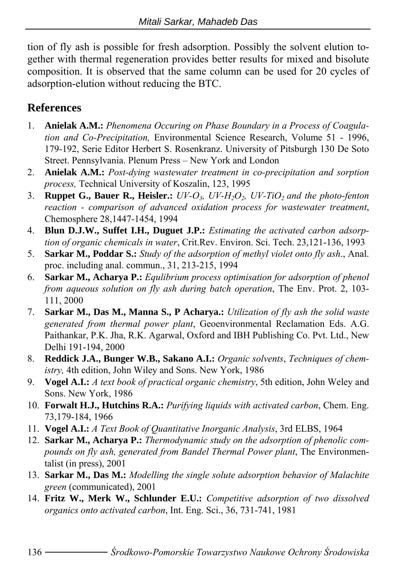tion of fly ash is possible for fresh adsorption. Possibly the solvent elution together with thermal regeneration provides better results for mixed and bisolute composition. It is observed that the same column can be used for 20 cycles of adsorption-elution without reducing the BTC.

# **References**

- 1. **Anielak A.M.:** *Phenomena Occuring on Phase Boundary in a Process of Coagulation and Co-Precipitation,* Environmental Science Research, Volume 51 - 1996, 179-192, Serie Editor Herbert S. Rosenkranz. University of Pitsburgh 130 De Soto Street. Pennsylvania. Plenum Press – New York and London
- 2. **Anielak A.M.:** *Post-dying wastewater treatment in co-precipitation and sorption process,* Technical University of Koszalin, 123, 1995
- 3. **Ruppet G., Bauer R., Heisler.:** *UV-O<sub>3</sub>, UV-H<sub>2</sub>O<sub>2</sub>, <i>UV-TiO<sub>2</sub>* and the photo-fenton *reaction - comparison of advanced oxidation process for wastewater treatment*, Chemosphere 28,1447-1454, 1994
- 4. **Blun D.J.W., Suffet I.H., Duguet J.P.:** *Estimating the activated carbon adsorption of organic chemicals in water*, Crit.Rev. Environ. Sci. Tech. 23,121-136, 1993
- 5. **Sarkar M., Poddar S.:** *Study of the adsorption of methyl violet onto fly ash*., Anal. proc. including anal. commun., 31, 213-215, 1994
- 6. **Sarkar M., Acharya P.:** *Equlibrium process optimisation for adsorption of phenol from aqueous solution on fly ash during batch operation*, The Env. Prot. 2, 103- 111, 2000
- 7. **Sarkar M., Das M., Manna S., P Acharya.:** *Utilization of fly ash the solid waste generated from thermal power plant*, Geoenvironmental Reclamation Eds. A.G. Paithankar, P.K. Jha, R.K. Agarwal, Oxford and IBH Publishing Co. Pvt. Ltd., New Delhi 191-194, 2000
- 8. **Reddick J.A., Bunger W.B., Sakano A.I.:** *Organic solvents*, *Techniques of chemistry,* 4th edition, John Wiley and Sons. New York, 1986
- 9. **Vogel A.I.:** *A text book of practical organic chemistry*, 5th edition, John Weley and Sons. New York, 1986
- 10. **Forwalt H.J., Hutchins R.A.:** *Purifying liquids with activated carbon*, Chem. Eng. 73,179-184, 1966
- 11. **Vogel A.I.:** *A Text Book of Quantitative Inorganic Analysis*, 3rd ELBS, 1964
- 12. **Sarkar M., Acharya P.:** *Thermodynamic study on the adsorption of phenolic compounds on fly ash, generated from Bandel Thermal Power plant*, The Environmentalist (in press), 2001
- 13. **Sarkar M., Das M.:** *Modelling the single solute adsorption behavior of Malachite green* (communicated), 2001
- 14. **Fritz W., Merk W., Schlunder E.U.:** *Competitive adsorption of two dissolved organics onto activated carbon*, Int. Eng. Sci., 36, 731-741, 1981